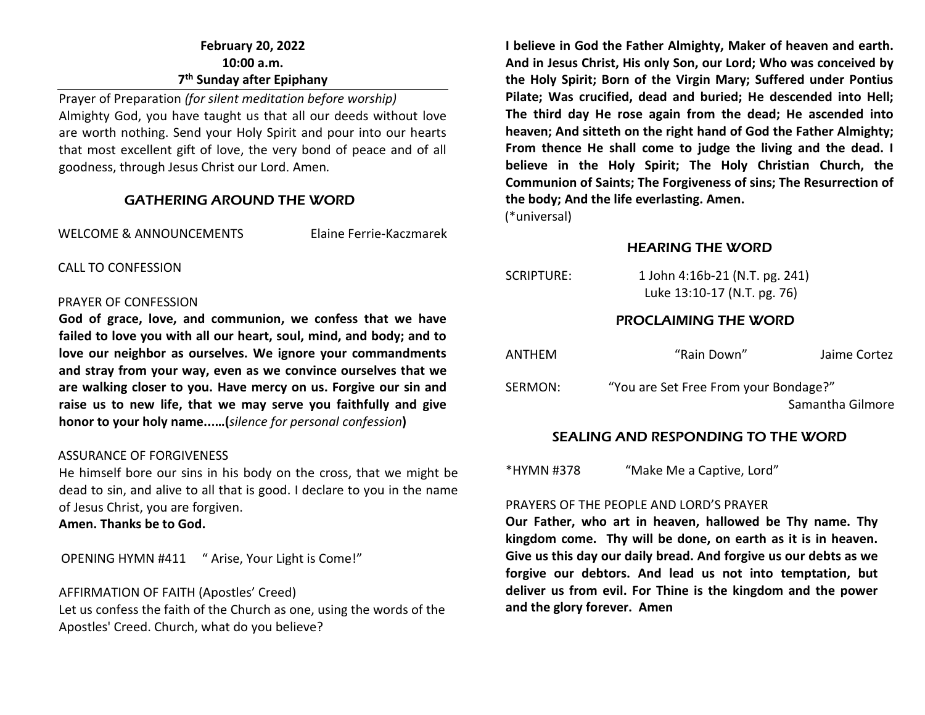# **February 20, 2022 10:00 a.m. 7 th Sunday after Epiphany**

Prayer of Preparation *(for silent meditation before worship)* Almighty God, you have taught us that all our deeds without love are worth nothing. Send your Holy Spirit and pour into our hearts that most excellent gift of love, the very bond of peace and of all goodness, through Jesus Christ our Lord. Amen*.* 

#### GATHERING AROUND THE WORD

WELCOME & ANNOUNCEMENTS Elaine Ferrie-Kaczmarek

CALL TO CONFESSION

#### PRAYER OF CONFESSION

**God of grace, love, and communion, we confess that we have failed to love you with all our heart, soul, mind, and body; and to love our neighbor as ourselves. We ignore your commandments and stray from your way, even as we convince ourselves that we are walking closer to you. Have mercy on us. Forgive our sin and raise us to new life, that we may serve you faithfully and give honor to your holy name...…(***silence for personal confession***)**

#### ASSURANCE OF FORGIVENESS

He himself bore our sins in his body on the cross, that we might be dead to sin, and alive to all that is good. I declare to you in the name of Jesus Christ, you are forgiven.

**Amen. Thanks be to God.**

OPENING HYMN #411 " Arise, Your Light is Come!"

AFFIRMATION OF FAITH (Apostles' Creed)

Let us confess the faith of the Church as one, using the words of the Apostles' Creed. Church, what do you believe?

**I believe in God the Father Almighty, Maker of heaven and earth. And in Jesus Christ, His only Son, our Lord; Who was conceived by the Holy Spirit; Born of the Virgin Mary; Suffered under Pontius Pilate; Was crucified, dead and buried; He descended into Hell; The third day He rose again from the dead; He ascended into heaven; And sitteth on the right hand of God the Father Almighty; From thence He shall come to judge the living and the dead. I believe in the Holy Spirit; The Holy Christian Church, the Communion of Saints; The Forgiveness of sins; The Resurrection of the body; And the life everlasting. Amen.**

(\*universal)

#### HEARING THE WORD

| SCRIPTURE:                  | 1 John 4:16b-21 (N.T. pg. 241)<br>Luke 13:10-17 (N.T. pg. 76) |              |  |  |  |
|-----------------------------|---------------------------------------------------------------|--------------|--|--|--|
| <b>PROCLAIMING THE WORD</b> |                                                               |              |  |  |  |
| ANTHEM                      | "Rain Down"                                                   | Jaime Cortez |  |  |  |
| SERMON:                     | "You are Set Free From your Bondage?"<br>Samantha Gilmore     |              |  |  |  |

# SEALING AND RESPONDING TO THE WORD

\*HYMN #378 "Make Me a Captive, Lord"

#### PRAYERS OF THE PEOPLE AND LORD'S PRAYER

**Our Father, who art in heaven, hallowed be Thy name. Thy kingdom come. Thy will be done, on earth as it is in heaven. Give us this day our daily bread. And forgive us our debts as we forgive our debtors. And lead us not into temptation, but deliver us from evil. For Thine is the kingdom and the power and the glory forever. Amen**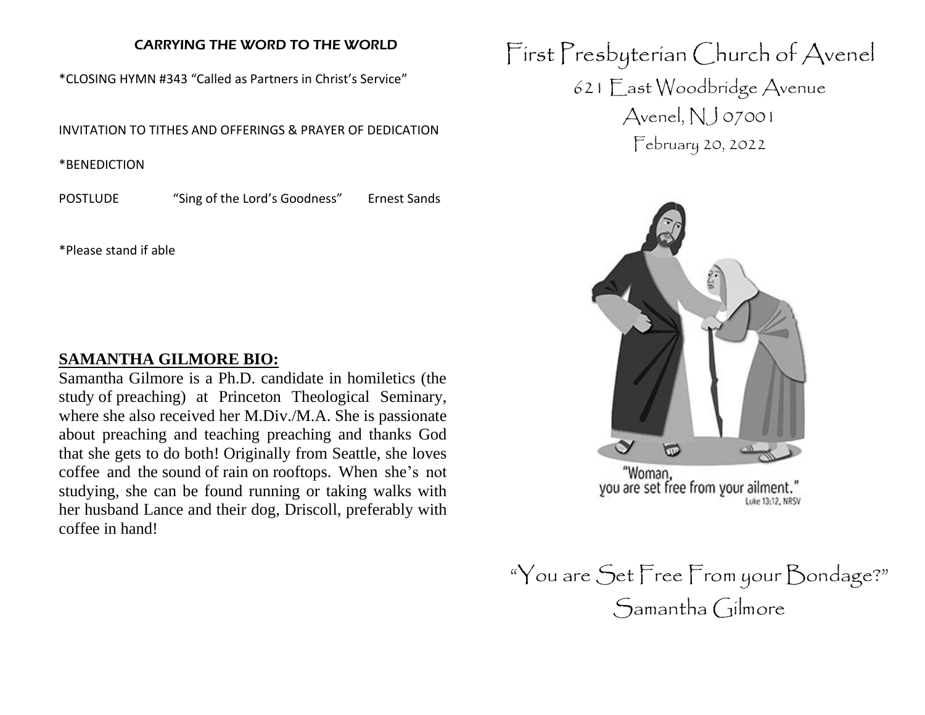# CARRYING THE WORD TO THE WORLD

\*CLOSING HYMN #343 "Called as Partners in Christ's Service"

INVITATION TO TITHES AND OFFERINGS & PRAYER OF DEDICATION

\*BENEDICTION

POSTLUDE "Sing of the Lord's Goodness" Ernest Sands

\*Please stand if able

# **SAMANTHA GILMORE BIO:**

Samantha Gilmore is a Ph.D. candidate in homiletics (the study of preaching) at Princeton Theological Seminary, where she also received her M.Div./M.A. She is passionate about preaching and teaching preaching and thanks God that she gets to do both! Originally from Seattle, she loves coffee and the sound of rain on rooftops. When she's not studying, she can be found running or taking walks with her husband Lance and their dog, Driscoll, preferably with coffee in hand!

First Presbyterian Church of Avenel 621 East Woodbridge Avenue Avenel, NJ 07001 February 20, 2022



"You are Set Free From your Bondage?" Samantha Gilmore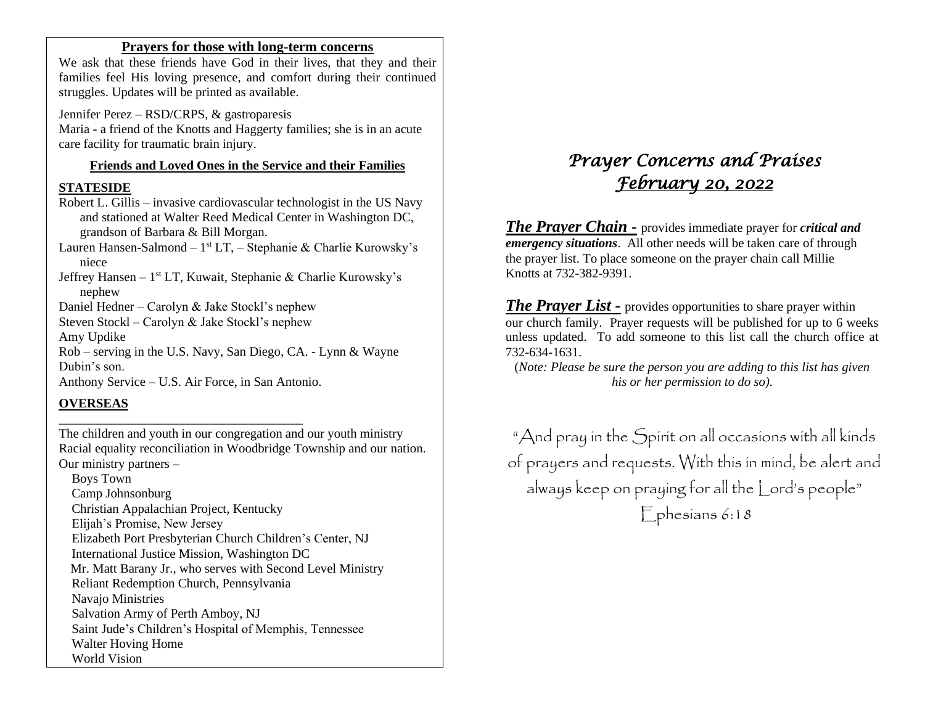#### **Prayers for those with long-term concerns**

We ask that these friends have God in their lives, that they and their families feel His loving presence, and comfort during their continued struggles. Updates will be printed as available.

Jennifer Perez – RSD/CRPS, & gastroparesis Maria - a friend of the Knotts and Haggerty families; she is in an acute care facility for traumatic brain injury.

#### **Friends and Loved Ones in the Service and their Families**

#### **STATESIDE**

Robert L. Gillis – invasive cardiovascular technologist in the US Navy and stationed at Walter Reed Medical Center in Washington DC, grandson of Barbara & Bill Morgan.

Lauren Hansen-Salmond – 1<sup>st</sup> LT, – Stephanie & Charlie Kurowsky's niece

Jeffrey Hansen - 1<sup>st</sup> LT, Kuwait, Stephanie & Charlie Kurowsky's nephew

Daniel Hedner – Carolyn & Jake Stockl's nephew

Steven Stockl – Carolyn & Jake Stockl's nephew

Amy Updike

Rob – serving in the U.S. Navy, San Diego, CA. - Lynn & Wayne Dubin's son.

Anthony Service – U.S. Air Force, in San Antonio.

\_\_\_\_\_\_\_\_\_\_\_\_\_\_\_\_\_\_\_\_\_\_\_\_\_\_\_\_\_\_\_\_\_\_\_\_\_\_

#### **OVERSEAS**

The children and youth in our congregation and our youth ministry Racial equality reconciliation in Woodbridge Township and our nation. Our ministry partners –

 Boys Town Camp Johnsonburg Christian Appalachian Project, Kentucky Elijah's Promise, New Jersey Elizabeth Port Presbyterian Church Children's Center, NJ International Justice Mission, Washington DC Mr. Matt Barany Jr., who serves with Second Level Ministry Reliant Redemption Church, Pennsylvania Navajo Ministries Salvation Army of Perth Amboy, NJ Saint Jude's Children's Hospital of Memphis, Tennessee Walter Hoving Home World Vision

# *Prayer Concerns and Praises February 20, 2022*

*The Prayer Chain -* provides immediate prayer for *critical and emergency situations*. All other needs will be taken care of through the prayer list. To place someone on the prayer chain call Millie Knotts at 732-382-9391.

*The Prayer List -* provides opportunities to share prayer within our church family. Prayer requests will be published for up to 6 weeks unless updated. To add someone to this list call the church office at 732-634-1631.

(*Note: Please be sure the person you are adding to this list has given his or her permission to do so).*

"And pray in the Spirit on all occasions with all kinds of prayers and requests. With this in mind, be alert and always keep on praying for all the Lord's people" Ephesians 6:18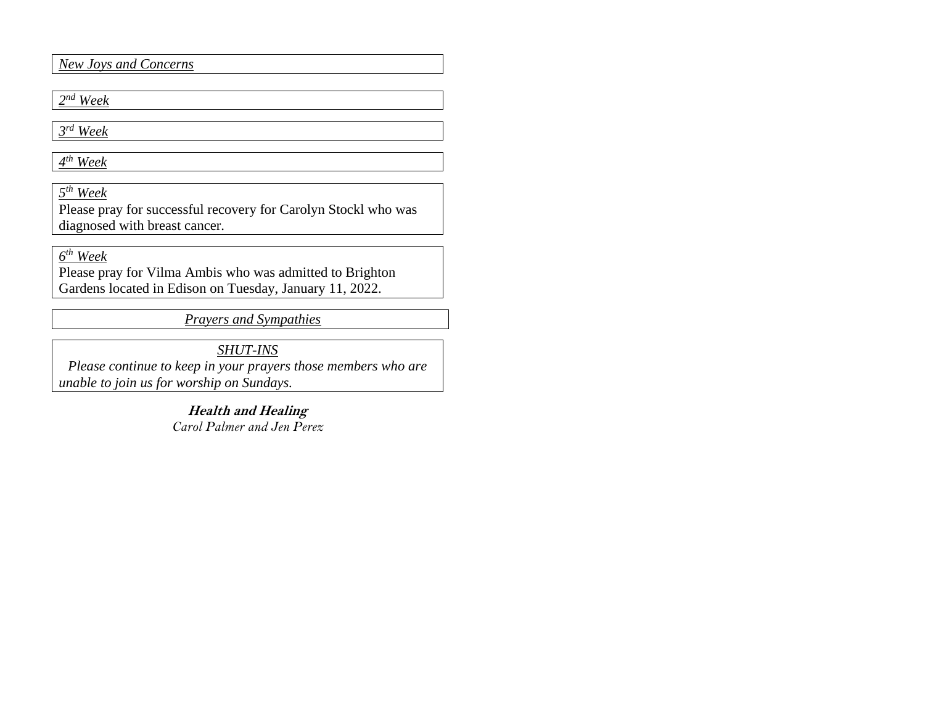*New Joys and Concerns*

*2 nd Week*

*3 rd Week*

*4 th Week*

*5 th Week*

Please pray for successful recovery for Carolyn Stockl who was diagnosed with breast cancer.

*6 th Week* 

Please pray for Vilma Ambis who was admitted to Brighton Gardens located in Edison on Tuesday, January 11, 2022.

*Prayers and Sympathies*

*SHUT-INS*

*Please continue to keep in your prayers those members who are unable to join us for worship on Sundays.* 

> **Health and Healing** *Carol Palmer and Jen Perez*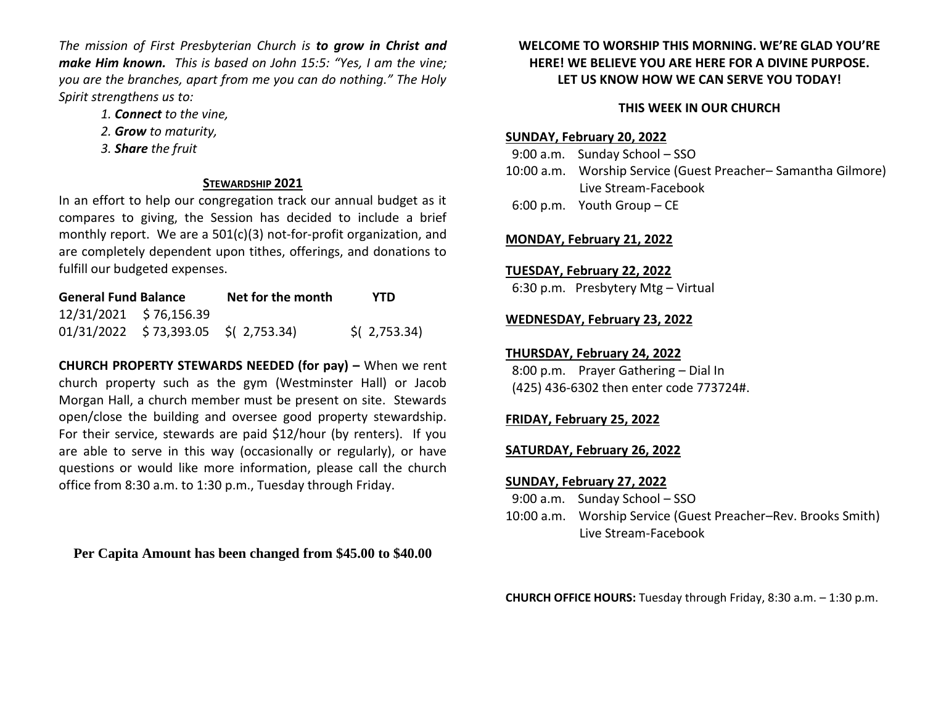*The mission of First Presbyterian Church is to grow in Christ and make Him known. This is based on John 15:5: "Yes, I am the vine; you are the branches, apart from me you can do nothing." The Holy Spirit strengthens us to:* 

- *1. Connect to the vine,*
- *2. Grow to maturity,*
- *3. Share the fruit*

#### **STEWARDSHIP 2021**

In an effort to help our congregation track our annual budget as it compares to giving, the Session has decided to include a brief monthly report. We are a 501(c)(3) not-for-profit organization, and are completely dependent upon tithes, offerings, and donations to fulfill our budgeted expenses.

| <b>General Fund Balance</b> |                                       | Net for the month | <b>YTD</b>                |
|-----------------------------|---------------------------------------|-------------------|---------------------------|
|                             | 12/31/2021 \$76,156.39                |                   |                           |
|                             | $01/31/2022$ \$73,393.05 \$(2,753.34) |                   | $\frac{1}{2}$ ( 2,753.34) |

**CHURCH PROPERTY STEWARDS NEEDED (for pay) –** When we rent church property such as the gym (Westminster Hall) or Jacob Morgan Hall, a church member must be present on site. Stewards open/close the building and oversee good property stewardship. For their service, stewards are paid \$12/hour (by renters). If you are able to serve in this way (occasionally or regularly), or have questions or would like more information, please call the church office from 8:30 a.m. to 1:30 p.m., Tuesday through Friday.

**Per Capita Amount has been changed from \$45.00 to \$40.00**

#### **WELCOME TO WORSHIP THIS MORNING. WE'RE GLAD YOU'RE HERE! WE BELIEVE YOU ARE HERE FOR A DIVINE PURPOSE. LET US KNOW HOW WE CAN SERVE YOU TODAY!**

# **THIS WEEK IN OUR CHURCH**

#### **SUNDAY, February 20, 2022**

 9:00 a.m. Sunday School – SSO 10:00 a.m. Worship Service (Guest Preacher– Samantha Gilmore) Live Stream-Facebook 6:00 p.m. Youth Group – CE

#### **MONDAY, February 21, 2022**

#### **TUESDAY, February 22, 2022**

6:30 p.m. Presbytery Mtg – Virtual

#### **WEDNESDAY, February 23, 2022**

## **THURSDAY, February 24, 2022**

 8:00 p.m. Prayer Gathering – Dial In (425) 436-6302 then enter code 773724#.

# **FRIDAY, February 25, 2022**

#### **SATURDAY, February 26, 2022**

#### **SUNDAY, February 27, 2022**

- 9:00 a.m. Sunday School SSO
- 10:00 a.m. Worship Service (Guest Preacher–Rev. Brooks Smith) Live Stream-Facebook

**CHURCH OFFICE HOURS:** Tuesday through Friday, 8:30 a.m. – 1:30 p.m.